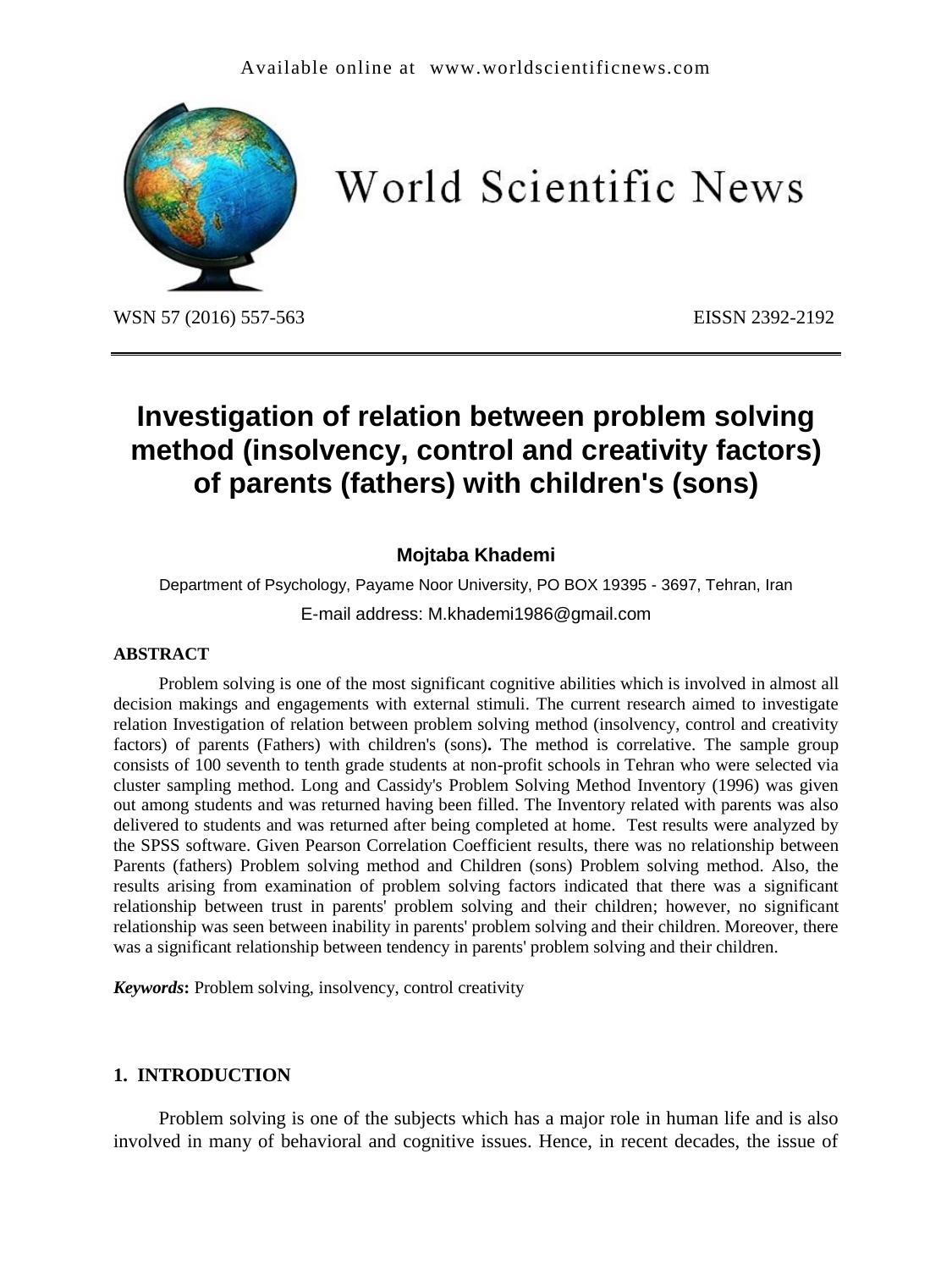

World Scientific News

WSN 57 (2016) 557-563 EISSN 2392-2192

# **Investigation of relation between problem solving method (insolvency, control and creativity factors) of parents (fathers) with children's (sons)**

## **Mojtaba Khademi**

Department of Psychology, Payame Noor University, PO BOX 19395 - 3697, Tehran, Iran E-mail address: M.khademi1986@gmail.com

#### **ABSTRACT**

Problem solving is one of the most significant cognitive abilities which is involved in almost all decision makings and engagements with external stimuli. The current research aimed to investigate relation Investigation of relation between problem solving method (insolvency, control and creativity factors) of parents (Fathers) with children's (sons)**.** The method is correlative. The sample group consists of 100 seventh to tenth grade students at non-profit schools in Tehran who were selected via cluster sampling method. Long and Cassidy's Problem Solving Method Inventory (1996) was given out among students and was returned having been filled. The Inventory related with parents was also delivered to students and was returned after being completed at home. Test results were analyzed by the SPSS software. Given Pearson Correlation Coefficient results, there was no relationship between Parents (fathers) Problem solving method and Children (sons) Problem solving method. Also, the results arising from examination of problem solving factors indicated that there was a significant relationship between trust in parents' problem solving and their children; however, no significant relationship was seen between inability in parents' problem solving and their children. Moreover, there was a significant relationship between tendency in parents' problem solving and their children.

*Keywords***:** Problem solving, insolvency, control creativity

#### **1. INTRODUCTION**

Problem solving is one of the subjects which has a major role in human life and is also involved in many of behavioral and cognitive issues. Hence, in recent decades, the issue of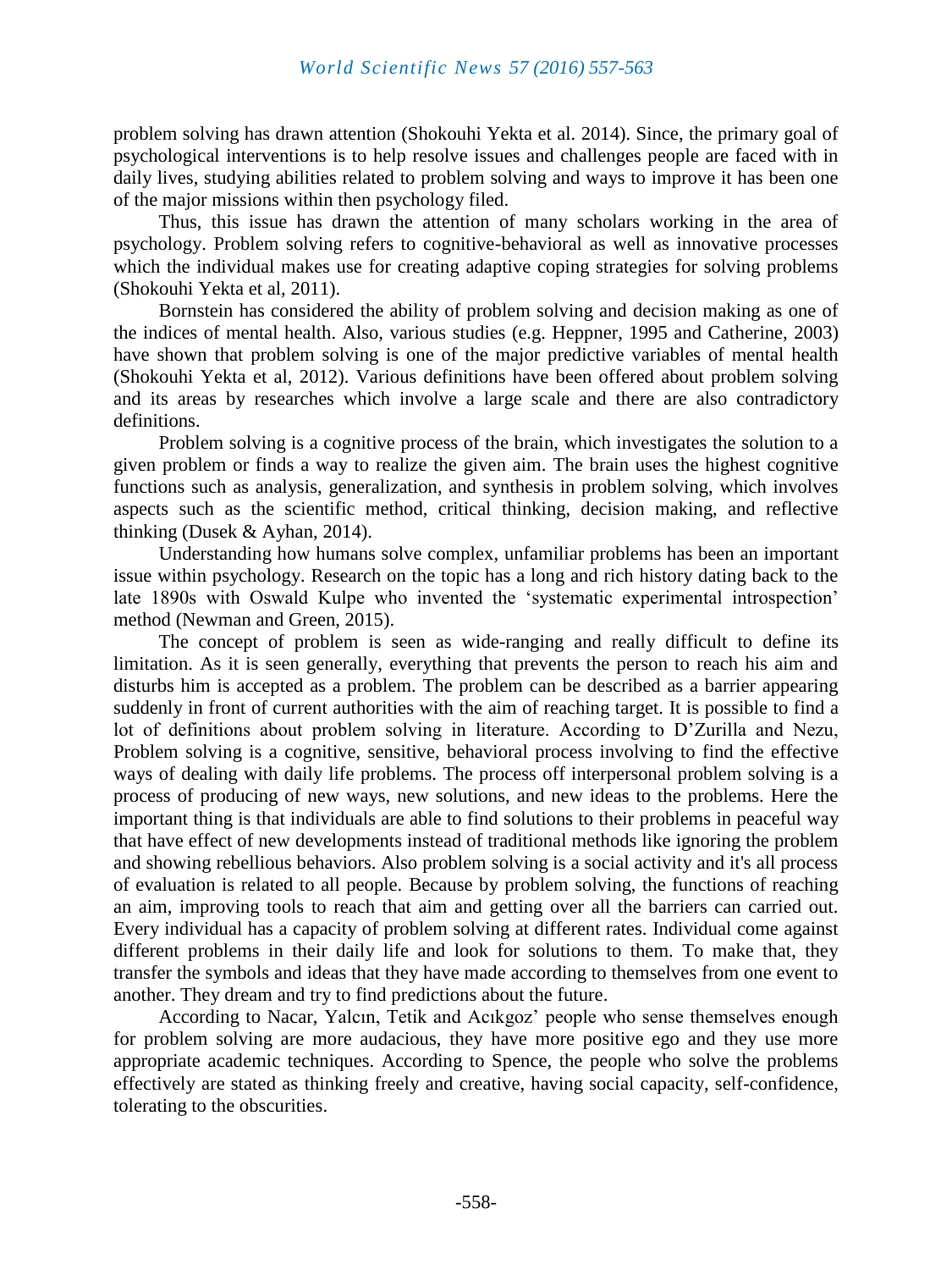problem solving has drawn attention (Shokouhi Yekta et al. 2014). Since, the primary goal of psychological interventions is to help resolve issues and challenges people are faced with in daily lives, studying abilities related to problem solving and ways to improve it has been one of the major missions within then psychology filed.

Thus, this issue has drawn the attention of many scholars working in the area of psychology. Problem solving refers to cognitive-behavioral as well as innovative processes which the individual makes use for creating adaptive coping strategies for solving problems (Shokouhi Yekta et al, 2011).

Bornstein has considered the ability of problem solving and decision making as one of the indices of mental health. Also, various studies (e.g. Heppner, 1995 and Catherine, 2003) have shown that problem solving is one of the major predictive variables of mental health (Shokouhi Yekta et al, 2012). Various definitions have been offered about problem solving and its areas by researches which involve a large scale and there are also contradictory definitions.

Problem solving is a cognitive process of the brain, which investigates the solution to a given problem or finds a way to realize the given aim. The brain uses the highest cognitive functions such as analysis, generalization, and synthesis in problem solving, which involves aspects such as the scientific method, critical thinking, decision making, and reflective thinking (Dusek & Ayhan, 2014).

Understanding how humans solve complex, unfamiliar problems has been an important issue within psychology. Research on the topic has a long and rich history dating back to the late 1890s with Oswald Kulpe who invented the 'systematic experimental introspection' method (Newman and Green, 2015).

The concept of problem is seen as wide-ranging and really difficult to define its limitation. As it is seen generally, everything that prevents the person to reach his aim and disturbs him is accepted as a problem. The problem can be described as a barrier appearing suddenly in front of current authorities with the aim of reaching target. It is possible to find a lot of definitions about problem solving in literature. According to D'Zurilla and Nezu, Problem solving is a cognitive, sensitive, behavioral process involving to find the effective ways of dealing with daily life problems. The process off interpersonal problem solving is a process of producing of new ways, new solutions, and new ideas to the problems. Here the important thing is that individuals are able to find solutions to their problems in peaceful way that have effect of new developments instead of traditional methods like ignoring the problem and showing rebellious behaviors. Also problem solving is a social activity and it's all process of evaluation is related to all people. Because by problem solving, the functions of reaching an aim, improving tools to reach that aim and getting over all the barriers can carried out. Every individual has a capacity of problem solving at different rates. Individual come against different problems in their daily life and look for solutions to them. To make that, they transfer the symbols and ideas that they have made according to themselves from one event to another. They dream and try to find predictions about the future.

According to Nacar, Yalcın, Tetik and Acıkgoz' people who sense themselves enough for problem solving are more audacious, they have more positive ego and they use more appropriate academic techniques. According to Spence, the people who solve the problems effectively are stated as thinking freely and creative, having social capacity, self-confidence, tolerating to the obscurities.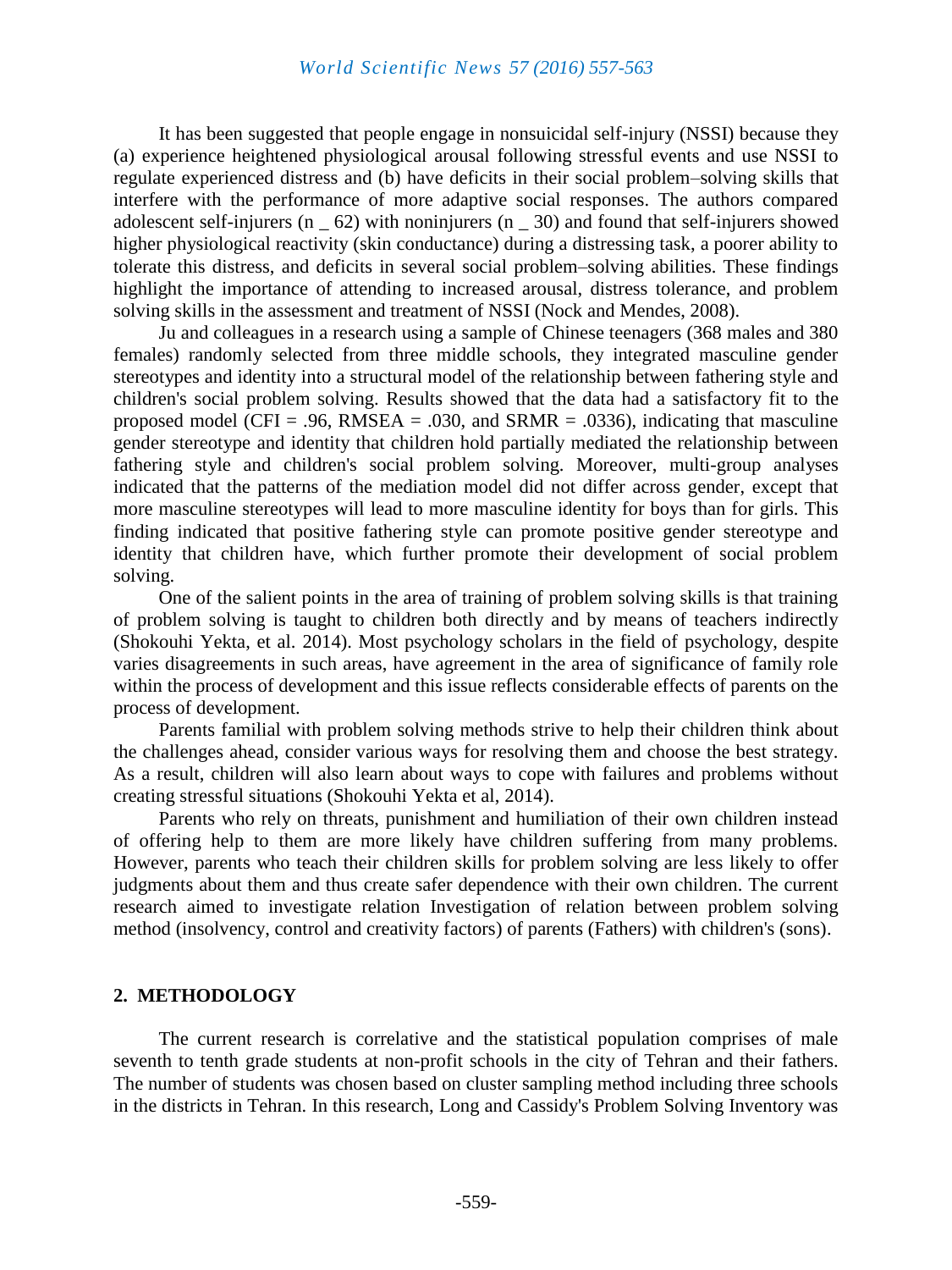It has been suggested that people engage in nonsuicidal self-injury (NSSI) because they (a) experience heightened physiological arousal following stressful events and use NSSI to regulate experienced distress and (b) have deficits in their social problem–solving skills that interfere with the performance of more adaptive social responses. The authors compared adolescent self-injurers (n \_ 62) with noninjurers (n \_ 30) and found that self-injurers showed higher physiological reactivity (skin conductance) during a distressing task, a poorer ability to tolerate this distress, and deficits in several social problem–solving abilities. These findings highlight the importance of attending to increased arousal, distress tolerance, and problem solving skills in the assessment and treatment of NSSI (Nock and Mendes, 2008).

Ju and colleagues in a research using a sample of Chinese teenagers (368 males and 380 females) randomly selected from three middle schools, they integrated masculine gender stereotypes and identity into a structural model of the relationship between fathering style and children's social problem solving. Results showed that the data had a satisfactory fit to the proposed model (CFI = .96, RMSEA = .030, and SRMR = .0336), indicating that masculine gender stereotype and identity that children hold partially mediated the relationship between fathering style and children's social problem solving. Moreover, multi-group analyses indicated that the patterns of the mediation model did not differ across gender, except that more masculine stereotypes will lead to more masculine identity for boys than for girls. This finding indicated that positive fathering style can promote positive gender stereotype and identity that children have, which further promote their development of social problem solving.

One of the salient points in the area of training of problem solving skills is that training of problem solving is taught to children both directly and by means of teachers indirectly (Shokouhi Yekta, et al. 2014). Most psychology scholars in the field of psychology, despite varies disagreements in such areas, have agreement in the area of significance of family role within the process of development and this issue reflects considerable effects of parents on the process of development.

Parents familial with problem solving methods strive to help their children think about the challenges ahead, consider various ways for resolving them and choose the best strategy. As a result, children will also learn about ways to cope with failures and problems without creating stressful situations (Shokouhi Yekta et al, 2014).

Parents who rely on threats, punishment and humiliation of their own children instead of offering help to them are more likely have children suffering from many problems. However, parents who teach their children skills for problem solving are less likely to offer judgments about them and thus create safer dependence with their own children. The current research aimed to investigate relation Investigation of relation between problem solving method (insolvency, control and creativity factors) of parents (Fathers) with children's (sons).

#### **2. METHODOLOGY**

The current research is correlative and the statistical population comprises of male seventh to tenth grade students at non-profit schools in the city of Tehran and their fathers. The number of students was chosen based on cluster sampling method including three schools in the districts in Tehran. In this research, Long and Cassidy's Problem Solving Inventory was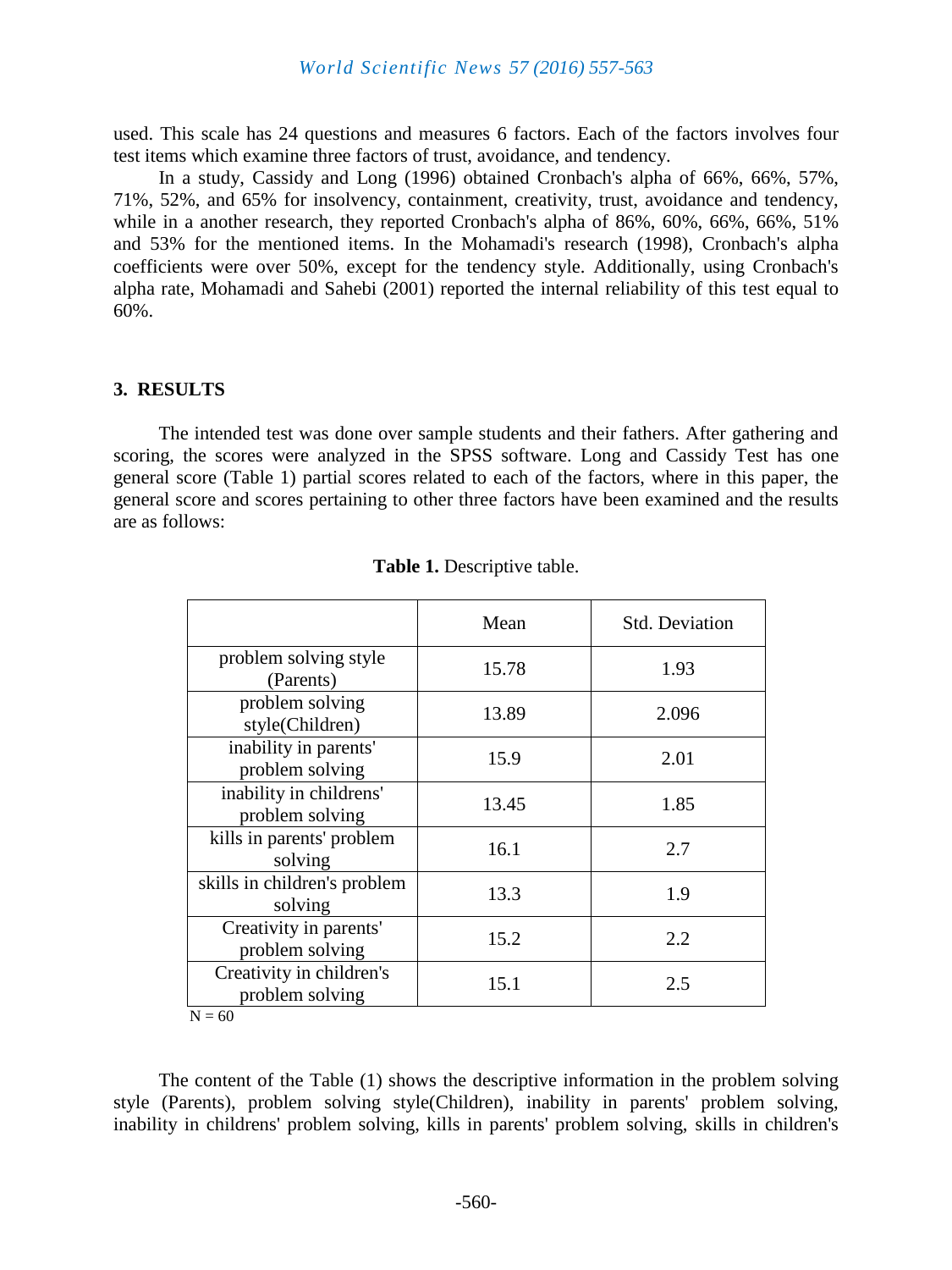used. This scale has 24 questions and measures 6 factors. Each of the factors involves four test items which examine three factors of trust, avoidance, and tendency.

In a study, Cassidy and Long (1996) obtained Cronbach's alpha of 66%, 66%, 57%, 71%, 52%, and 65% for insolvency, containment, creativity, trust, avoidance and tendency, while in a another research, they reported Cronbach's alpha of 86%, 60%, 66%, 66%, 51% and 53% for the mentioned items. In the Mohamadi's research (1998), Cronbach's alpha coefficients were over 50%, except for the tendency style. Additionally, using Cronbach's alpha rate, Mohamadi and Sahebi (2001) reported the internal reliability of this test equal to 60%.

#### **3. RESULTS**

The intended test was done over sample students and their fathers. After gathering and scoring, the scores were analyzed in the SPSS software. Long and Cassidy Test has one general score (Table 1) partial scores related to each of the factors, where in this paper, the general score and scores pertaining to other three factors have been examined and the results are as follows:

|                                             | Mean  | <b>Std. Deviation</b> |
|---------------------------------------------|-------|-----------------------|
| problem solving style<br>(Parents)          | 15.78 | 1.93                  |
| problem solving<br>style(Children)          | 13.89 | 2.096                 |
| inability in parents'<br>problem solving    | 15.9  | 2.01                  |
| inability in childrens'<br>problem solving  | 13.45 | 1.85                  |
| kills in parents' problem<br>solving        | 16.1  | 2.7                   |
| skills in children's problem<br>solving     | 13.3  | 1.9                   |
| Creativity in parents'<br>problem solving   | 15.2  | 2.2                   |
| Creativity in children's<br>problem solving | 15.1  | 2.5                   |
| $N = 60$                                    |       |                       |

The content of the Table (1) shows the descriptive information in the problem solving style (Parents), problem solving style(Children), inability in parents' problem solving, inability in childrens' problem solving, kills in parents' problem solving, skills in children's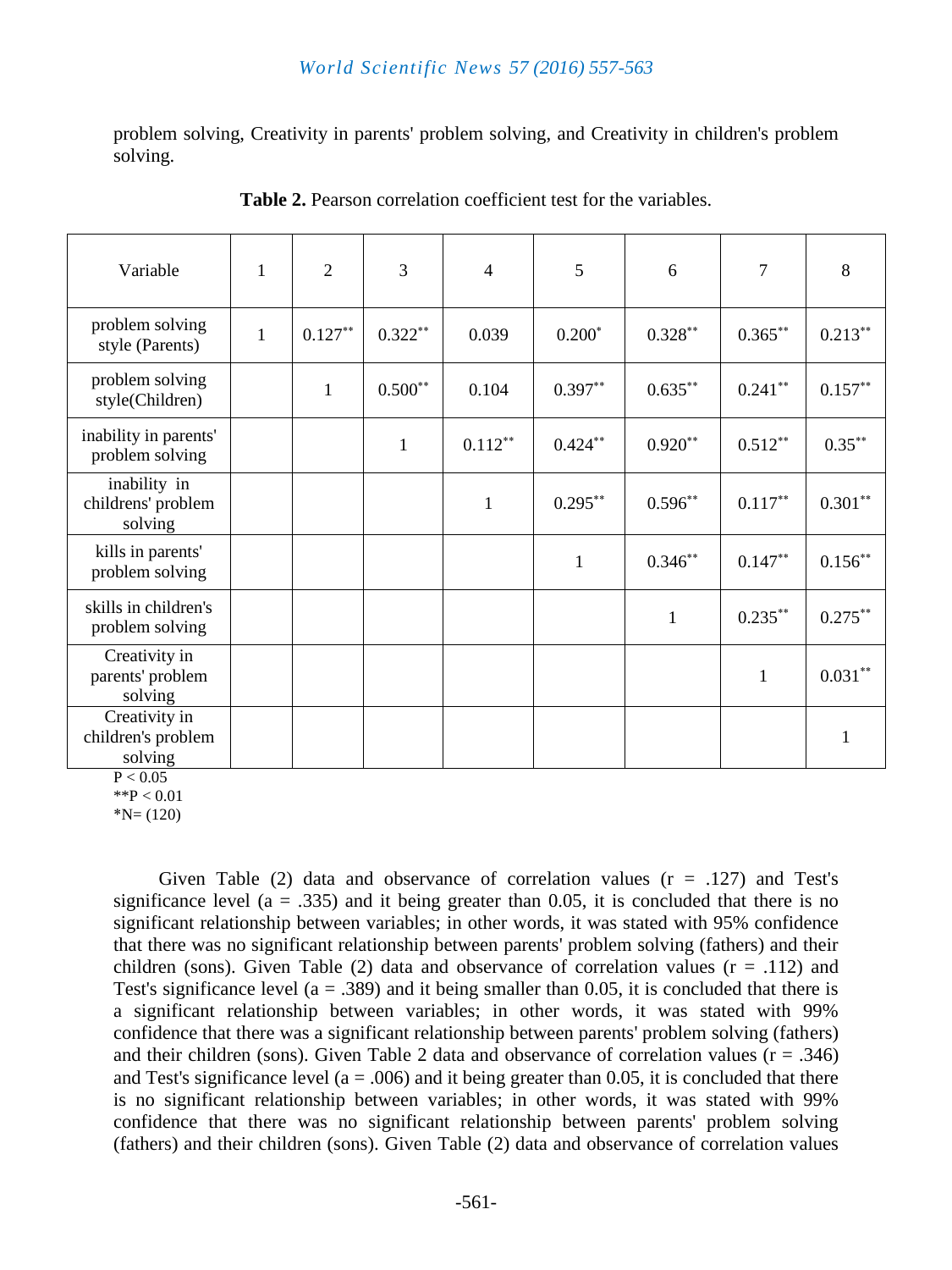problem solving, Creativity in parents' problem solving, and Creativity in children's problem solving.

| Variable                                       | $\mathbf{1}$ | $\overline{2}$ | $\overline{3}$ | $\overline{4}$ | 5            | 6            | 7            | 8            |
|------------------------------------------------|--------------|----------------|----------------|----------------|--------------|--------------|--------------|--------------|
| problem solving<br>style (Parents)             | $\mathbf{1}$ | $0.127***$     | $0.322**$      | 0.039          | $0.200*$     | $0.328***$   | $0.365***$   | $0.213***$   |
| problem solving<br>style(Children)             |              | $\mathbf{1}$   | $0.500**$      | 0.104          | $0.397**$    | $0.635***$   | $0.241***$   | $0.157***$   |
| inability in parents'<br>problem solving       |              |                | $\mathbf{1}$   | $0.112***$     | $0.424***$   | $0.920**$    | $0.512**$    | $0.35***$    |
| inability in<br>childrens' problem<br>solving  |              |                |                | $\mathbf{1}$   | $0.295***$   | $0.596**$    | $0.117***$   | $0.301***$   |
| kills in parents'<br>problem solving           |              |                |                |                | $\mathbf{1}$ | $0.346^{**}$ | $0.147***$   | $0.156***$   |
| skills in children's<br>problem solving        |              |                |                |                |              | $\mathbf{1}$ | $0.235***$   | $0.275***$   |
| Creativity in<br>parents' problem<br>solving   |              |                |                |                |              |              | $\mathbf{1}$ | $0.031***$   |
| Creativity in<br>children's problem<br>solving |              |                |                |                |              |              |              | $\mathbf{1}$ |

**Table 2.** Pearson correlation coefficient test for the variables.

 $P < 0.05$  $*$  $P < 0.01$ 

 $N = (120)$ 

Given Table (2) data and observance of correlation values  $(r = .127)$  and Test's significance level ( $a = .335$ ) and it being greater than 0.05, it is concluded that there is no significant relationship between variables; in other words, it was stated with 95% confidence that there was no significant relationship between parents' problem solving (fathers) and their children (sons). Given Table (2) data and observance of correlation values  $(r = .112)$  and Test's significance level ( $a = .389$ ) and it being smaller than 0.05, it is concluded that there is a significant relationship between variables; in other words, it was stated with 99% confidence that there was a significant relationship between parents' problem solving (fathers) and their children (sons). Given Table 2 data and observance of correlation values ( $r = .346$ ) and Test's significance level ( $a = .006$ ) and it being greater than 0.05, it is concluded that there is no significant relationship between variables; in other words, it was stated with 99% confidence that there was no significant relationship between parents' problem solving (fathers) and their children (sons). Given Table (2) data and observance of correlation values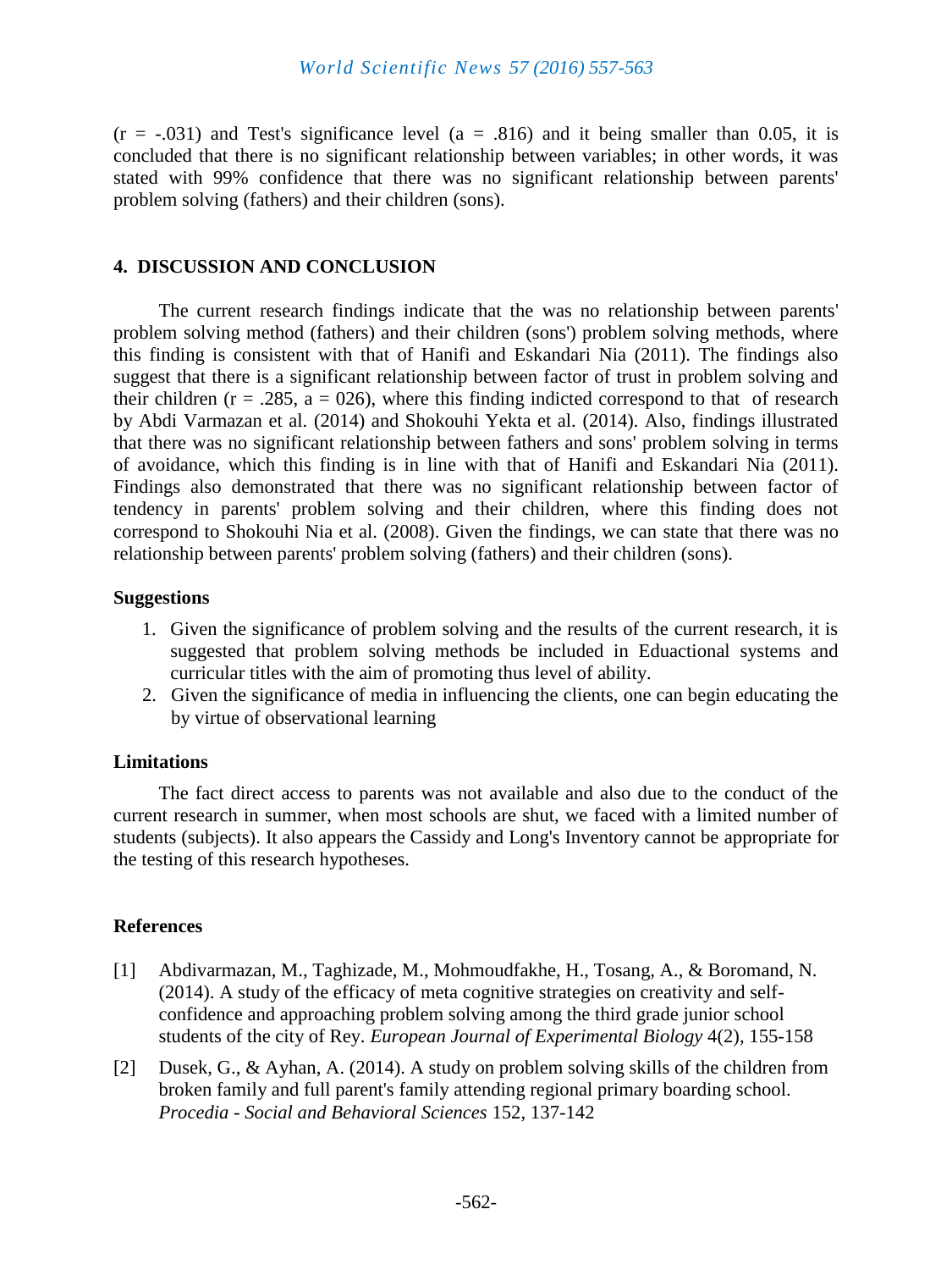$(r = -.031)$  and Test's significance level (a = .816) and it being smaller than 0.05, it is concluded that there is no significant relationship between variables; in other words, it was stated with 99% confidence that there was no significant relationship between parents' problem solving (fathers) and their children (sons).

### **4. DISCUSSION AND CONCLUSION**

The current research findings indicate that the was no relationship between parents' problem solving method (fathers) and their children (sons') problem solving methods, where this finding is consistent with that of Hanifi and Eskandari Nia (2011). The findings also suggest that there is a significant relationship between factor of trust in problem solving and their children ( $r = .285$ ,  $a = 026$ ), where this finding indicted correspond to that of research by Abdi Varmazan et al. (2014) and Shokouhi Yekta et al. (2014). Also, findings illustrated that there was no significant relationship between fathers and sons' problem solving in terms of avoidance, which this finding is in line with that of Hanifi and Eskandari Nia (2011). Findings also demonstrated that there was no significant relationship between factor of tendency in parents' problem solving and their children, where this finding does not correspond to Shokouhi Nia et al. (2008). Given the findings, we can state that there was no relationship between parents' problem solving (fathers) and their children (sons).

#### **Suggestions**

- 1. Given the significance of problem solving and the results of the current research, it is suggested that problem solving methods be included in Eduactional systems and curricular titles with the aim of promoting thus level of ability.
- 2. Given the significance of media in influencing the clients, one can begin educating the by virtue of observational learning

#### **Limitations**

The fact direct access to parents was not available and also due to the conduct of the current research in summer, when most schools are shut, we faced with a limited number of students (subjects). It also appears the Cassidy and Long's Inventory cannot be appropriate for the testing of this research hypotheses.

#### **References**

- [1] Abdivarmazan, M., Taghizade, M., Mohmoudfakhe, H., Tosang, A., & Boromand, N. (2014). A study of the efficacy of meta cognitive strategies on creativity and selfconfidence and approaching problem solving among the third grade junior school students of the city of Rey. *European Journal of Experimental Biology* 4(2), 155-158
- [2] Dusek, G., & Ayhan, A. (2014). A study on problem solving skills of the children from broken family and full parent's family attending regional primary boarding school. *Procedia - Social and Behavioral Sciences* 152, 137-142